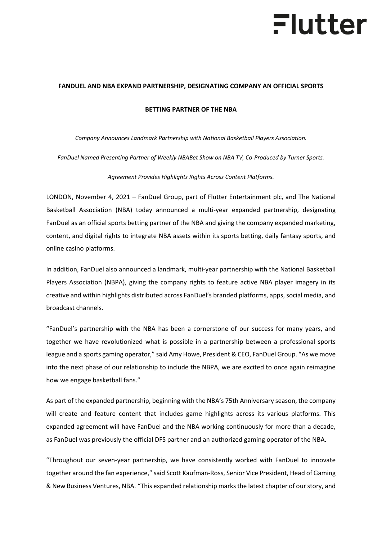# Flutter

### **FANDUEL AND [NBA EXPAND PARTNERSHIP, DESIGNATING COMPANY AN OFFICIAL SPORTS](https://newsroom.fanduel.com/2021/07/27/fanduel-casino-launches-standalone-product-in-new-jersey-adds-live-dealer-games-in-michigan/)**

#### **[BETTING PARTNER OF THE NBA](https://newsroom.fanduel.com/2021/07/27/fanduel-casino-launches-standalone-product-in-new-jersey-adds-live-dealer-games-in-michigan/)**

*Company Announces Landmark Partnership with National Basketball Players Association.* 

*FanDuel Named Presenting Partner of Weekly NBABet Show on NBA TV, Co-Produced by Turner Sports.*

*Agreement Provides Highlights Rights Across Content Platforms.*

LONDON, November 4, 2021 – FanDuel Group, part of Flutter Entertainment plc, and The National Basketball Association (NBA) today announced a multi-year expanded partnership, designating FanDuel as an official sports betting partner of the NBA and giving the company expanded marketing, content, and digital rights to integrate NBA assets within its sports betting, daily fantasy sports, and online casino platforms.

In addition, FanDuel also announced a landmark, multi-year partnership with the National Basketball Players Association (NBPA), giving the company rights to feature active NBA player imagery in its creative and within highlights distributed across FanDuel's branded platforms, apps, social media, and broadcast channels.

"FanDuel's partnership with the NBA has been a cornerstone of our success for many years, and together we have revolutionized what is possible in a partnership between a professional sports league and a sports gaming operator," said Amy Howe, President & CEO, FanDuel Group. "As we move into the next phase of our relationship to include the NBPA, we are excited to once again reimagine how we engage basketball fans."

As part of the expanded partnership, beginning with the NBA's 75th Anniversary season, the company will create and feature content that includes game highlights across its various platforms. This expanded agreement will have FanDuel and the NBA working continuously for more than a decade, as FanDuel was previously the official DFS partner and an authorized gaming operator of the NBA.

"Throughout our seven-year partnership, we have consistently worked with FanDuel to innovate together around the fan experience," said Scott Kaufman-Ross, Senior Vice President, Head of Gaming & New Business Ventures, NBA. "This expanded relationship marks the latest chapter of our story, and